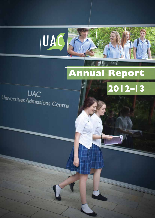

# **Annual Report**

 $\epsilon$ 

 $\sqrt{2012-13}$ 

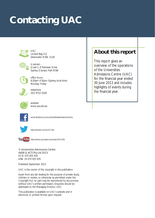# **Contacting UAC**



UAC Locked Bag 112 Silverwater NSW 2128



in person Quad 2, 8 Parkview Drive Sydney Olympic Park NSW



office hours 8.30am–4.30pm (Sydney local time) Monday–Friday



telephone (02) 9752 0200



website www.uac.edu.au



www.facebook.com/universitiesadmissionscentre



http://twitter.com/UACinfo



You Tube http://www.youtube.com/user/UACinfo

© Universities Admissions Centre (NSW & ACT) Pty Ltd 2013 ACN 070 055 935 ABN 19 070 055 935

Published September 2013

UAC is the owner of the copyright in this publication.

Apart from any fair dealing for the purpose of private study, criticism or review, or otherwise as permitted under the Copyright Act, no part may be reproduced by any process without UAC's written permission. Enquiries should be addressed to the Managing Director, UAC.

This publication is available on UAC's website and in electronic or printed format upon request.

## **About this report**

This report gives an overview of the operations of the Universities Admissions Centre (UAC) for the financial year ended 30 June 2013 and includes highlights of events during the financial year.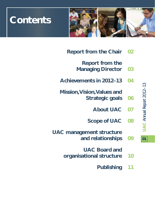

# **Contents**

- **Report from the Chair 02**
	- **Report from the Managing Director 03**
- **Achievements in 2012–13 04**
- **Mission, Vision, Values and Strategic goals 06**
	- **About UAC 07**
	- **Scope of UAC 08**
- **UAC management structure and relationships 09**
	- **UAC Board and**
	- **organisational structure 10**
		- **Publishing 11**

UAC Annual Report 2012-13 **UAC** *Annual Report 2012–13* **01**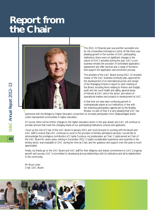# **Report from the Chair**



The 2012–13 financial year was another successful one for the Universities Admissions Centre. While there was pleasing growth in the number of UAC participating institutions, there were no significant changes in the nature of UAC's activities during the year. UAC's core business remains the provision of centralised application, assessment and offer services and a range of functions that support the application and enrolment process.

The activities of the UAC Board during 2012–13 included review of the UAC business continuity plan, approval for the development of an international portal, and receipt of the Managing Director's report to each meeting of the Board, including items relating to finance and budget, audit and risk, work health and safety, general issues of interest at UAC and in the sector, and advice of operational matters and projects in development at UAC.

In that time we have seen continuing growth in undergraduate places at our institutions, in line with the widening participation agenda set by the Bradley Review. As part of that, it is very pleasing that UAC has

partnered with the Bridges to Higher Education consortium to increase participation from disadvantaged and/or under-represented communities in higher education.

Of course, there will be further changes to the higher education sector in the year ahead, and UAC will continue to provide services that meet the changing needs of our participating institutions, schools and applicants.

I took up the role of Chair of the UAC Board in January 2013, and I look forward to working with the Board and UAC staff to ensure that UAC continues to excel in the provision of tertiary admissions services. I would like to acknowledge the prodigious contribution of Crystal Condous, my predecessor as Chair. Crystal served as Chair of the UAC Board for seven years, retiring in December 2012. Crystal's considerable experience and expertise in the tertiary sector was invaluable to UAC during her time as Chair, and her guidance and support over the years is much appreciated.

Finally, my thanks go to the UAC Board and UAC staff for their diligence and shared commitment to UAC's ongoing growth and success. UAC is committed to developing strong relationships with its institutions and all its stakeholders in the community.

Mr Bruce Lines Chair, UAC Board

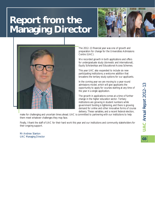# **Report from the Managing Director**





The 2012–13 financial year was one of growth and preparation for change for the Universities Admissions Centre (UAC).

We recorded growth in both applications and offers for undergraduate study (domestic and international), Equity Scholarships and Educational Access Schemes.

This year UAC also expanded to include six new participating institutions; a welcome addition that broadens the tertiary study options for our applicants.

In the coming year we are moving to a year-round admissions model, which will give applicants the opportunity to apply for courses starting at any time of the year in a single application.

The growth in applications comes at a time of further change in the higher education sector. Tertiary institutions are growing in student numbers while government funding is tightening, and there is growing demand for online and other innovative forms of course delivery. These variables, and a recent federal election,

make for challenging and uncertain times ahead. UAC is committed to partnering with our institutions to help them meet whatever challenges they may face.

Finally, I thank the staff of UAC for their hard work this year and our institutions and community stakeholders for their ongoing support.

Mr Andrew Stanton UAC Managing Director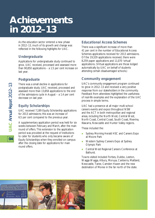# **Achievements in 2012–13**

As the education sector entered a new phase in 2012–13, much of its growth and change was reflected in the following highlights for UAC.

#### *Undergraduate*

Applications for undergraduate study continued to grow. UAC received, processed and assessed more than 90,850 applications – a 1.5 per cent increase on last year.

#### *Postgraduate*

There was a small decline in applications for postgraduate study. UAC received, processed and assessed more than 13,858 applications to the end of the admissions cycle in August – a 1.4 per cent decrease on last year.

### *Equity Scholarships*

UAC received 7,189 Equity Scholarship applications for 2013 admissions; this was an increase of 6.5 per cent compared to the previous year.

A supplementary application period was held for six weeks between February and March, after the main round of offers. This extension to the application period was provided at the request of institutions to cater for students who only became aware of Equity Scholarships when they enrolled on campus after the closing date for applications for main round offers.

#### *Educational Access Schemes*

There was a significant increase of more than 41 per cent in the number of Educational Access Schemes applications received for 2013 admissions. Of the 19,329 applications received, there were 8,259 paper applications and 11,070 'virtual' applications. (Virtual applications are those lodged automatically by UAC on behalf of students attending certain disadvantaged schools.)

#### *Community engagement*

UAC's community engagement program continued to grow in 2012–13 and received a very positive response from our stakeholders in the community. Feedback from attendees highlighted the usefulness of real-life examples and the explanation of the UAC process in simple terms.

UAC had a presence at all major multi-school careers events and expos throughout NSW and the ACT in both metropolitan and regional areas, including the North West, Central West, North Coast, Central Coast, South Coast, Riverina, Illawarra, Newcastle and Hunter Valley regions.

These included the:

- Sydney Morning Herald HSC and Careers Expo at Moore Park
- **Nestern Sydney Careers Expo at Sydney** Olympic Park
- **E** Central West Regional Careers Conference at **Bathurst**

Towns visited included Forbes, Dubbo, Leeton, Wagga Wagga, Albury, Moruya, Canberra, Maitland, Newcastle, Taree, Camden Haven and the new destination of Moree in the far north of the state.

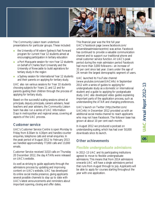

The Community Liaison team undertook presentations for particular groups. These included:

- **the University of Western Sydney's Fast Forward** program for current Year 12 students aimed at encouraging participation in tertiary education
- **a** a Port Macquarie session for non-Year 12 students on behalf of Charles Sturt University and the University of Newcastle to build aspirations for tertiary study in the region
- **a** a Sydney session for international Year 12 students and their parents on applying for tertiary study.

UAC also ran various sessions for Year 10 students choosing subjects for Years 11 and 12 and for parents guiding their children through the process of applying for tertiary study.

Based on the successful scaling sessions aimed at principals, deputy principals, careers advisers, head teachers and year advisers, the Community Liaison team has also run a series of UAC Information Days in metropolitan and regional areas, covering all aspects of the UAC process.

#### *Customer service*

UAC's Customer Service Centre is open Monday to Friday from 8.30am to 4.30pm and handles counter enquiries, telephone calls and email enquiries. In the peak period of August 2012 to February 2013 we handled approximately 77,000 calls and 13,000 emails.

Customer Service received 3,010 calls on Thursday 20 December 2012, the day ATARs were released on UAC's website.

As well as striving to guide applicants through the admissions process by updating and improving content on UAC's website, UAC has developed its online social media presence, giving applicants several possible channels to stay up to date with UAC's latest announcements and reminders about important opening, closing and offer dates.

This financial year was the first full year UAC's Facebook page (www.facebook.com/ universitiesadmissionscentre) was active. Facebook has continued to provide a valuable communication channel and to support our traditional phone and email customer service function. At UAC's peak period during the main admission period Facebook had more than 3,000 followers—an increase of 33 per cent since last year. Users under the age of 24 remain the largest demographic segment of users.

UAC launched its YouTube channel

(www.youtube.com/user/UACinfo) in September 2012 with a series of guides to applying for undergraduate study as a domestic or international student and a guide to applying for postgraduate study. UAC also developed video guides explaining important parts of the application process, such as understanding the ATAR and changing preferences.

UAC's launch on Twitter (http://twitter.com/ UACinfo) in December 2012 provided us with an additional social media channel to reach applicants who may not have Facebook. The follower base has grown at about 10 per cent each month.

In August 2012 we produced a podcast on understanding scaling, which has had over 50,000 downloads since its launch.

#### *Other achievements*

#### *Flexible undergraduate admissions*

In 2012–13 UAC and its participating institutions agreed to move to flexible undergraduate admissions. This means that from 2014 admissions onwards UAC will have a single admissions period that runs from August through to July. Applicants will be able to apply for courses starting throughout the year with one application.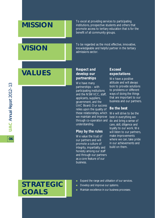# **MISSION**

To excel at providing services to participating institutions, prospective students and others that promote access to tertiary education that is for the benefit of all community groups.

# **VISION**

To be regarded as the most effective, innovative, knowledgeable and helpful partner in the tertiary admissions sector.

# **VALUES**

**06**

### *Respect and develop our partnerships*

We have many partnerships – with participating institutions and the NSWVCC, staff, applicants, suppliers, government, and the UAC Board. Our success relies upon the quality of these relationships, which we maintain and improve through co-operation and do and bring a sense of understanding.

## *Play by the rules*

We value the trust of our partners and will promote a culture of integrity, impartiality and honesty among our staff and through our partners as a core feature of our business.

### *Exceed expectations*

We have a positive attitude and will always look to provide solutions to problems or different ways of doing the things that are important to our business and our partners.

#### *Be the best*

We will strive to be the best in everything we care, skill, diligence and loyalty to our work. We will listen to our partners. make improvements where we can, take pride in our achievements and build on them.

## **STRATEGIC GOALS**

- Expand the range and utilisation of our services.
- Develop and improve our systems.
- Maintain excellence in our business processes.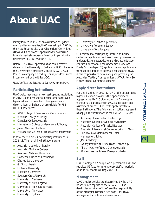# **About UAC**



Initially formed in 1969 as an association of Sydney metropolitan universities, UAC was set up in 1995 by the New South Wales Vice-Chancellors' Committee (NSWVCC) to process applications for admission to undergraduate courses offered by its participating universities in NSW and the ACT.

Before 1995, UAC operated as an administrative division of the University of Sydney. In 1996 it became the Universities Admissions Centre (NSW & ACT) Pty Ltd, a company owned by UniProjects Pty Limited, in turn owned by the NSWVCC.

UAC's offices are located at Sydney Olympic Park.

#### *Participating institutions*

UAC welcomed several new participating institutions in 2012–13 as it moved to include other approved higher education providers offering courses at diploma level or higher that are eligible for FEE-HELP. These were:

- **APM College of Business and Communication**
- **Billy Blue College of Design**
- **Campion College Australia**
- **International College of Management, Sydney**
- **Jansen Newman Institute**
- **Nilliam Blue College of Hospitality Management.**

In total there were 24 participating institutions in 2012–13. The remaining institutions were:

- **Australian Catholic University**
- **Australian Maritime College**
- **Australian National University**
- **Canberra Institute of Technology**
- **Charles Sturt University**
- **Griffith University**
- **La Trobe University**
- **Macquarie University**
- **Southern Cross University**
- University of Canberra
- **University of New England**
- **University of New South Wales**
- **University of Newcastle**
- University of Sydney
- **University of Technology, Sydney**
- **University of Western Sydney**
- University of Wollongong.

Our services to participating institutions include centralised application and assessment processes for undergraduate, postgraduate and distance education courses, Educational Access Schemes (EAS) and Equity Scholarships (ES) applications, and applications from specific groups of international students. UAC is also responsible for calculating and providing the Australian Tertiary Admission Rank (ATAR) to NSW Higher School Certificate students.

### *Apply direct institutions*

For the first time in 2012–13, UAC offered approved higher education providers the opportunity to appear in the UAC Guide and on UAC's website without fully participating in UAC's application and assessment process. Applicants apply directly to these institutions. The following institutions appeared as apply direct institutions in the *UAC 2013 Guide*:

- **Academy of Information Technology**
- Australian College of Applied Psychology
- Australian College of Physical Education
- **Australian International Conservatorium of Music**
- **Blue Mountains International Hotel** Management School
- **JMC Academy**
- Sydney Institute of Business and Technology
- **The University of Notre Dame Australia**
- **NH** Whitehouse Institute of Design, Australia.

#### *Staff*

UAC employed 62 people on a permanent basis and recruited 55 fixed-term temporary staff for periods of up to six months during 2012–13.

#### *Management*

UAC's major policies are determined by the UAC Board, which reports to the NSWVCC. The day-to-day activities of UAC are the responsibility of the Managing Director. See page 9 for UAC management structure and relationships.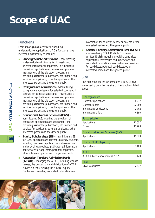# **Scope of UAC**

### *Functions*

From its origins as a centre for handling undergraduate applications, UAC's functions have increased significantly to include:

- **Undergraduate admissions**  administering undergraduate admissions for domestic and selected international applicants. This includes a centralised application and assessment process, management of the allocation process, and providing associated publications, information and services for applicants, potential applicants, other interested parties and the general public.
- **Postgraduate admissions** administering postgraduate admissions for selected coursework courses for domestic applicants. This includes a centralised application and assessment process, management of the allocation process, and providing associated publications, information and services for applicants, potential applicants, other interested parties and the general public.
- **Educational Access Schemes (EAS)** administering EAS, including the provision of centralised applications and assessment, and providing associated publications, information and services for applicants, potential applicants, other interested parties and the general public.
- **Equity Scholarships (ES)** administering ES for UAC applicants and current university students, including centralised applications and assessment, and providing associated publications, information and services for applicants, potential applicants, other interested parties and the general public.
- **Australian Tertiary Admission Rank (ATAR)** – managing the ATAR, including website release, the production and distribution of ATAR Advice Notices, running the ATAR Enquiry Centre and providing associated publications and

information for students, teachers, parents, other interested parties and the general public.

 **Special Tertiary Admissions Test (STAT)** – administering STAT Multiple Choice and Written English, including providing centralised applications, test venues and supervisors, and associated publications, information and services for candidates, potential candidates, other interested parties and the general public.

#### *Size*

The following figures for semester 1 in 2013 give some background to the size of the functions listed above.

| Undergraduate                           |        |
|-----------------------------------------|--------|
| Domestic applications                   | 88,237 |
| Domestic offers                         | 82,069 |
| International applications              | 2,702  |
| International offers                    | 4,890  |
| Postgraduate                            |        |
| Applications                            | 11,057 |
| Offers                                  | 12,263 |
| <b>Educational Access Schemes (EAS)</b> |        |
| Applications                            | 19,329 |
| <b>Equity Scholarships (ES)</b>         |        |
| Applications                            | 7,189  |
| <b>ATAR</b>                             |        |
| ATAR Advice Notices sent in 2012        | 67,449 |
| <b>STAT</b>                             |        |
| STAT candidates                         | 2,537  |



UAC Annual Report 2012-13 **UAC** *Annual Report 2012–13*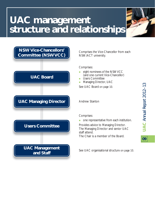# **UAC management structure and relationships**



Comprises the Vice-Chancellor from each NSW/ACT university.

Comprises:

- **Example 1** eight nominees of the NSWVCC
- (and one current Vice-Chancellor) **Users Committee**
- **Managing Director, UAC**

See UAC Board on page 10.

Andrew Stanton

Comprises:

one representative from each institution.

Provides advice to Managing Director. The Managing Director and senior UAC staff attend. The Chair is a member of the Board.

See UAC organisational structure on page 10.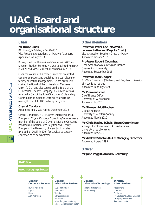# **UAC Board and organisational structure**

#### *Chair*

#### **Mr Bruce Lines**

BA (Hons), MPubPol, MBA, GAICD Vice-President, Operations, University of Canberra Appointed January 2013

Bruce joined the University of Canberra in 2003 as Director, Student Services. He was appointed Registrar in 2009, and Vice-President, Operations, in 2013.

Over the course of his career, Bruce has presented conference papers and published in areas relating to tertiary education management. He has previously chaired the Board of the University of Canberra Union (UCU) and also served on the Board of the Queensland Theatre Company. In 2006 Bruce was awarded a Carrick Institute Citation for Outstanding Contribution to Student Learning, relating to his oversight of VET to UC pathway programs.

#### **Crystal Condous**

Appointed June 2005; retired December 2012

Crystal Condous OAM, BComm (Marketing) MLib. Principal of Crystal Condous Consulting Services; was a member of the board of Governors for the Centennial Parklands Foundation; was Registrar and Deputy Principal of the University of New South Wales; awarded an OAM in 2004 for services to tertiary education as an administrator.

#### *Other members*

#### **Professor Peter Lee (NSWVCC representative and Deputy Chair)**

Vice-Chancellor, Southern Cross University Appointed January 2012

#### **Professor Robert Coombes**

Head School of Accounting and Finance Charles Sturt University Appointed September 2005

#### **Professor Joan Cooper**

Pro-Vice Chancellor (Students) and Registrar University of New South Wales Appointed February 2009

#### **Mr Damien Israel**

Chief Finance Officer University of Wollongong Appointed July 2011

#### **Ms Shaneen McGlinchey**

Deputy Registrar University of Western Sydney Appointed March 2010

#### **Mr Chris Hadley (Chair, Users Committee)**

Manager, Enrolments and UAC Admissions University of Wollongong Appointed July 2011

#### **Mr Andrew Stanton (UAC Managing Director)** Appointed August 1995

### *Officer*

#### **Mr John Pegg (Company Secretary)**

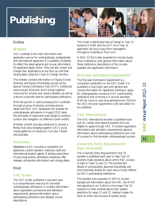# **Publishing**



### *Online*

#### *Website*

UAC's website is the main information and application source for undergraduate, postgraduate and international applicants. It is updated constantly to reflect the latest general and course information. All applicants apply online. They can also review and change their applications at any time up until final closing dates using the Check & Change function.

The website contains information on Equity Access Schemes and Equity Scholarships as well as the Special Tertiary Admissions Test (STAT). Additional areas include Schoolink, which brings together resources for schools and careers advisers, as well as a secure corporate area for participating institutions.

With the growth in users accessing UAC's website through an array of devices, including phone, tablet and PDA, UAC developed the website for undergraduate admissions in August 2012 using the principles of responsive web design to enhance content and navigation on different screen widths.

Website content was also enhanced to include a Media Hub area, bringing together UAC's social media platforms of Facebook, YouTube, Twitter and podcasts.

### *Directions*

*Directions* is UAC's monthly e-newsletter for applicants, careers advisers, institution staff and international student agents. It advises subscribers of upcoming events, admissions deadlines, offer releases, scholarship information and closing dates.

## *Print*

### *UAC Guide*

The UAC Guide, published in July each year, is a comprehensive resource for domestic undergraduate admissions. It contains information about application procedures and admission requirements, general information about participating institutions and detailed course descriptions.

The Guide is distributed free-of-charge to Year 12 students in NSW and the ACT. Non-Year 12 applicants can buy a copy from newsagents throughout Australia or from UAC.

In 2012–13 the Guide expanded to include Apply direct institutions, with general information about these institutions, descriptions of the courses available and application information.

### *Mid-year Admissions Supplement*

The Mid-year Admissions Supplement is a companion publication to the UAC Guide. It is published in April each year with general and course information for applicants wanting to apply for undergraduate courses at UAC's participating institutions that commence in second semester. With the move to year-long admissions for 2013/14, the 2013 mid-year supplement is the last edition to be published.

## *UAC International*

The UAC International booklet is published each year for certain international students who are eligible to apply through UAC. It contains application information and admission requirements, general information about participating institutions and a list of courses for first-semester undergraduate courses.

### *University Entry Requirements Year 10 booklet*

The University Entry Requirements Year 10 booklet is published each year to help Year 10 students make decisions about which HSC courses to take in Years 11 and 12. The booklet lists details of prerequisites, assumed knowledge and recommended studies for each area of study offered by UAC's participating institutions.

The booklet was expanded in 2013 to include background information about the HSC, the ATAR and applying to uni. It aims to encourage Year 10 students to think carefully about their subject selections for years 11 and 12, making it easier for them to enter and succeed at tertiary study.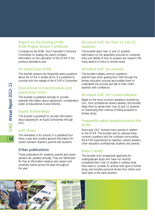#### *Report on the Scaling of the NSW Higher School Certificate*

Compiled by the NSW Vice-Chancellor's Technical Committee on Scaling, this report contains information on the calculation of the ATAR in the previous admissions year.

#### *All about your ATAR*

This booklet answers the frequently asked questions about the ATAR in simple terms. It is published to coincide with the release of the ATAR in December.

### *Educational Access Schemes (and application form)*

This booklet is published annually to provide essential information about applying for consideration under an Educational Access Scheme.

#### *Equity Scholarships*

This booklet is published to provide information about applying for an Equity Scholarship through UAC.

#### *UAC News*

This newsletter is for schools. It is published four times a year and contains general information for careers advisers, teachers, parents and students.

#### *Other publications*

These publications for students, parents and career advisers are updated annually. They are distributed for free at information sessions and careers and university events across the state throughout the year.

### *All about UAC for Year 11 and 12 students*

This booklet gives Year 11 and 12 students information on the application process for university entry and details of how to prepare and research the many aspects of entry to tertiary study.

### *All about UAC for parents*

This booklet collates common questions parents have when guiding their child through the tertiary education process and enables them to understand the process and talk to their child's teachers with confidence.

#### *All about UAC for careers advisers*

Based on the most common questions received by UAC from professional careers advisers, this booklet helps them to advise their Year 10 and 12 students on maximising their chances of being accepted to tertiary study.

#### *Frequently asked questions about the ATAR*

Every year UAC receives many queries in relation to the ATAR. This booklet aims to address these common questions and the confusion surrounding the ATAR experienced by teachers, careers advisers, other education professionals, students and parents.

### *Steps 2 study*

This booklet is for prospective applicants for undergraduate study who have not recently completed their Year 12 studies. It outlines what they need to consider to achieve their goal of further study, and includes personal stories from others who have been in the same position.